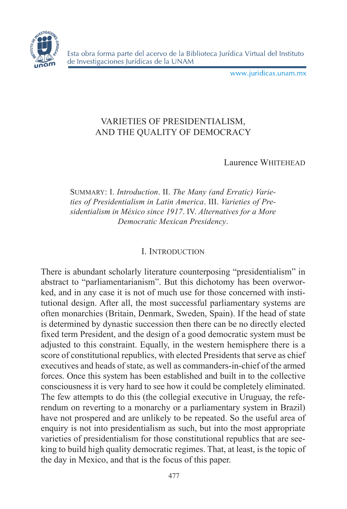

www.juridicas.unam.mx

# VARIETIES OF PRESIDENTIALISM, AND THE QUALITY OF DEMOCRACY

Laurence WHITEHEAD

Summary: I. *Introduction*. II. *The Many (and Erratic) Varieties of Presidentialism in Latin America*. III. *Varieties of Presidentialism in México since 1917*. IV. *Alternatives for a More Democratic Mexican Presidency*.

## I. Introduction

There is abundant scholarly literature counterposing "presidentialism" in abstract to "parliamentarianism". But this dichotomy has been overworked, and in any case it is not of much use for those concerned with institutional design. After all, the most successful parliamentary systems are often monarchies (Britain, Denmark, Sweden, Spain). If the head of state is determined by dynastic succession then there can be no directly elected fixed term President, and the design of a good democratic system must be adjusted to this constraint. Equally, in the western hemisphere there is a score of constitutional republics, with elected Presidents that serve as chief executives and heads of state, as well as commanders-in-chief of the armed forces. Once this system has been established and built in to the collective consciousness it is very hard to see how it could be completely eliminated. The few attempts to do this (the collegial executive in Uruguay, the referendum on reverting to a monarchy or a parliamentary system in Brazil) have not prospered and are unlikely to be repeated. So the useful area of enquiry is not into presidentialism as such, but into the most appropriate varieties of presidentialism for those constitutional republics that are seeking to build high quality democratic regimes. That, at least, is the topic of the day in Mexico, and that is the focus of this paper.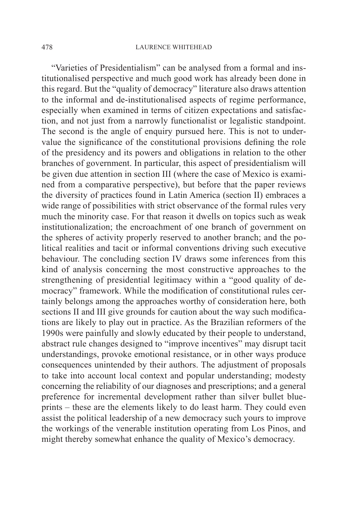"Varieties of Presidentialism" can be analysed from a formal and institutionalised perspective and much good work has already been done in this regard. But the "quality of democracy" literature also draws attention to the informal and de-institutionalised aspects of regime performance, especially when examined in terms of citizen expectations and satisfaction, and not just from a narrowly functionalist or legalistic standpoint. The second is the angle of enquiry pursued here. This is not to undervalue the significance of the constitutional provisions defining the role of the presidency and its powers and obligations in relation to the other branches of government. In particular, this aspect of presidentialism will be given due attention in section III (where the case of Mexico is examined from a comparative perspective), but before that the paper reviews the diversity of practices found in Latin America (section II) embraces a wide range of possibilities with strict observance of the formal rules very much the minority case. For that reason it dwells on topics such as weak institutionalization; the encroachment of one branch of government on the spheres of activity properly reserved to another branch; and the political realities and tacit or informal conventions driving such executive behaviour. The concluding section IV draws some inferences from this kind of analysis concerning the most constructive approaches to the strengthening of presidential legitimacy within a "good quality of democracy" framework. While the modification of constitutional rules certainly belongs among the approaches worthy of consideration here, both sections II and III give grounds for caution about the way such modifications are likely to play out in practice. As the Brazilian reformers of the 1990s were painfully and slowly educated by their people to understand, abstract rule changes designed to "improve incentives" may disrupt tacit understandings, provoke emotional resistance, or in other ways produce consequences unintended by their authors. The adjustment of proposals to take into account local context and popular understanding; modesty concerning the reliability of our diagnoses and prescriptions; and a general preference for incremental development rather than silver bullet blueprints – these are the elements likely to do least harm. They could even assist the political leadership of a new democracy such yours to improve the workings of the venerable institution operating from Los Pinos, and might thereby somewhat enhance the quality of Mexico's democracy.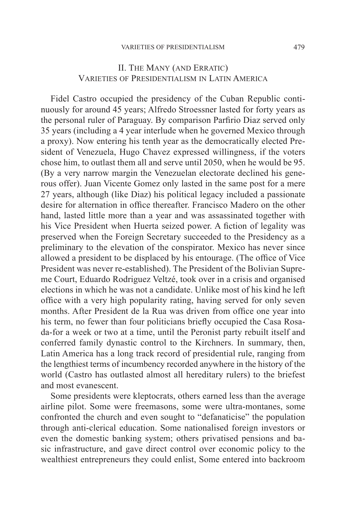### II. The Many (and Erratic) Varieties of Presidentialism in Latin America

Fidel Castro occupied the presidency of the Cuban Republic continuously for around 45 years; Alfredo Stroessner lasted for forty years as the personal ruler of Paraguay. By comparison Parfirio Diaz served only 35 years (including a 4 year interlude when he governed Mexico through a proxy). Now entering his tenth year as the democratically elected President of Venezuela, Hugo Chavez expressed willingness, if the voters chose him, to outlast them all and serve until 2050, when he would be 95. (By a very narrow margin the Venezuelan electorate declined his generous offer). Juan Vicente Gomez only lasted in the same post for a mere 27 years, although (like Diaz) his political legacy included a passionate desire for alternation in office thereafter. Francisco Madero on the other hand, lasted little more than a year and was assassinated together with his Vice President when Huerta seized power. A fiction of legality was preserved when the Foreign Secretary succeeded to the Presidency as a preliminary to the elevation of the conspirator. Mexico has never since allowed a president to be displaced by his entourage. (The office of Vice President was never re-established). The President of the Bolivian Supreme Court, Eduardo Rodriguez Veltzé, took over in a crisis and organised elections in which he was not a candidate. Unlike most of his kind he left office with a very high popularity rating, having served for only seven months. After President de la Rua was driven from office one year into his term, no fewer than four politicians briefly occupied the Casa Rosada-for a week or two at a time, until the Peronist party rebuilt itself and conferred family dynastic control to the Kirchners. In summary, then, Latin America has a long track record of presidential rule, ranging from the lengthiest terms of incumbency recorded anywhere in the history of the world (Castro has outlasted almost all hereditary rulers) to the briefest and most evanescent.

Some presidents were kleptocrats, others earned less than the average airline pilot. Some were freemasons, some were ultra-montanes, some confronted the church and even sought to "defanaticise" the population through anti-clerical education. Some nationalised foreign investors or even the domestic banking system; others privatised pensions and basic infrastructure, and gave direct control over economic policy to the wealthiest entrepreneurs they could enlist, Some entered into backroom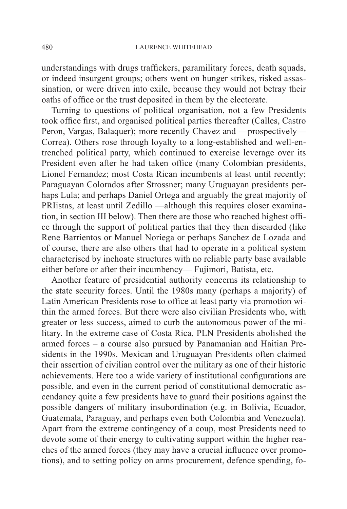understandings with drugs traffickers, paramilitary forces, death squads, or indeed insurgent groups; others went on hunger strikes, risked assassination, or were driven into exile, because they would not betray their oaths of office or the trust deposited in them by the electorate.

Turning to questions of political organisation, not a few Presidents took office first, and organised political parties thereafter (Calles, Castro Peron, Vargas, Balaquer); more recently Chavez and —prospectively— Correa). Others rose through loyalty to a long-established and well-entrenched political party, which continued to exercise leverage over its President even after he had taken office (many Colombian presidents, Lionel Fernandez; most Costa Rican incumbents at least until recently; Paraguayan Colorados after Strossner; many Uruguayan presidents perhaps Lula; and perhaps Daniel Ortega and arguably the great majority of PRIistas, at least until Zedillo —although this requires closer examination, in section III below). Then there are those who reached highest office through the support of political parties that they then discarded (like Rene Barrientos or Manuel Noriega or perhaps Sanchez de Lozada and of course, there are also others that had to operate in a political system characterised by inchoate structures with no reliable party base available either before or after their incumbency— Fujimori, Batista, etc.

Another feature of presidential authority concerns its relationship to the state security forces. Until the 1980s many (perhaps a majority) of Latin American Presidents rose to office at least party via promotion within the armed forces. But there were also civilian Presidents who, with greater or less success, aimed to curb the autonomous power of the military. In the extreme case of Costa Rica, PLN Presidents abolished the armed forces – a course also pursued by Panamanian and Haitian Presidents in the 1990s. Mexican and Uruguayan Presidents often claimed their assertion of civilian control over the military as one of their historic achievements. Here too a wide variety of institutional configurations are possible, and even in the current period of constitutional democratic ascendancy quite a few presidents have to guard their positions against the possible dangers of military insubordination (e.g. in Bolivia, Ecuador, Guatemala, Paraguay, and perhaps even both Colombia and Venezuela). Apart from the extreme contingency of a coup, most Presidents need to devote some of their energy to cultivating support within the higher reaches of the armed forces (they may have a crucial influence over promotions), and to setting policy on arms procurement, defence spending, fo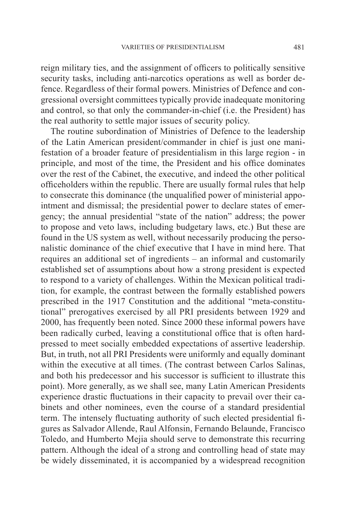reign military ties, and the assignment of officers to politically sensitive security tasks, including anti-narcotics operations as well as border defence. Regardless of their formal powers. Ministries of Defence and congressional oversight committees typically provide inadequate monitoring and control, so that only the commander-in-chief (i.e. the President) has the real authority to settle major issues of security policy.

The routine subordination of Ministries of Defence to the leadership of the Latin American president/commander in chief is just one manifestation of a broader feature of presidentialism in this large region - in principle, and most of the time, the President and his office dominates over the rest of the Cabinet, the executive, and indeed the other political officeholders within the republic. There are usually formal rules that help to consecrate this dominance (the unqualified power of ministerial appointment and dismissal; the presidential power to declare states of emergency; the annual presidential "state of the nation" address; the power to propose and veto laws, including budgetary laws, etc.) But these are found in the US system as well, without necessarily producing the personalistic dominance of the chief executive that I have in mind here. That requires an additional set of ingredients – an informal and customarily established set of assumptions about how a strong president is expected to respond to a variety of challenges. Within the Mexican political tradition, for example, the contrast between the formally established powers prescribed in the 1917 Constitution and the additional "meta-constitutional" prerogatives exercised by all PRI presidents between 1929 and 2000, has frequently been noted. Since 2000 these informal powers have been radically curbed, leaving a constitutional office that is often hardpressed to meet socially embedded expectations of assertive leadership. But, in truth, not all PRI Presidents were uniformly and equally dominant within the executive at all times. (The contrast between Carlos Salinas, and both his predecessor and his successor is sufficient to illustrate this point). More generally, as we shall see, many Latin American Presidents experience drastic fluctuations in their capacity to prevail over their cabinets and other nominees, even the course of a standard presidential term. The intensely fluctuating authority of such elected presidential figures as Salvador Allende, Raul Alfonsin, Fernando Belaunde, Francisco Toledo, and Humberto Mejia should serve to demonstrate this recurring pattern. Although the ideal of a strong and controlling head of state may be widely disseminated, it is accompanied by a widespread recognition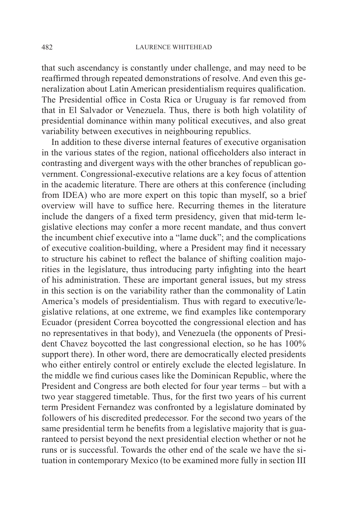that such ascendancy is constantly under challenge, and may need to be reaffirmed through repeated demonstrations of resolve. And even this generalization about Latin American presidentialism requires qualification. The Presidential office in Costa Rica or Uruguay is far removed from that in El Salvador or Venezuela. Thus, there is both high volatility of presidential dominance within many political executives, and also great variability between executives in neighbouring republics.

In addition to these diverse internal features of executive organisation in the various states of the region, national officeholders also interact in contrasting and divergent ways with the other branches of republican government. Congressional-executive relations are a key focus of attention in the academic literature. There are others at this conference (including from IDEA) who are more expert on this topic than myself, so a brief overview will have to suffice here. Recurring themes in the literature include the dangers of a fixed term presidency, given that mid-term legislative elections may confer a more recent mandate, and thus convert the incumbent chief executive into a "lame duck"; and the complications of executive coalition-building, where a President may find it necessary to structure his cabinet to reflect the balance of shifting coalition majorities in the legislature, thus introducing party infighting into the heart of his administration. These are important general issues, but my stress in this section is on the variability rather than the commonality of Latin America's models of presidentialism. Thus with regard to executive/legislative relations, at one extreme, we find examples like contemporary Ecuador (president Correa boycotted the congressional election and has no representatives in that body), and Venezuela (the opponents of President Chavez boycotted the last congressional election, so he has 100% support there). In other word, there are democratically elected presidents who either entirely control or entirely exclude the elected legislature. In the middle we find curious cases like the Dominican Republic, where the President and Congress are both elected for four year terms – but with a two year staggered timetable. Thus, for the first two years of his current term President Fernandez was confronted by a legislature dominated by followers of his discredited predecessor. For the second two years of the same presidential term he benefits from a legislative majority that is guaranteed to persist beyond the next presidential election whether or not he runs or is successful. Towards the other end of the scale we have the situation in contemporary Mexico (to be examined more fully in section III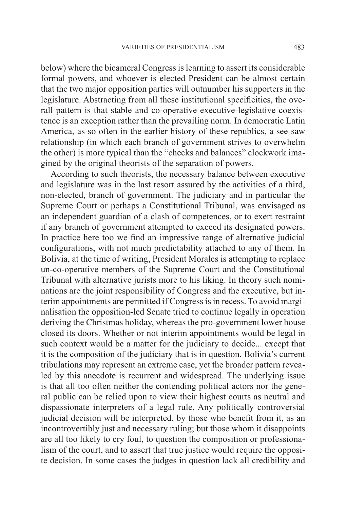below) where the bicameral Congress is learning to assert its considerable formal powers, and whoever is elected President can be almost certain that the two major opposition parties will outnumber his supporters in the legislature. Abstracting from all these institutional specificities, the overall pattern is that stable and co-operative executive-legislative coexistence is an exception rather than the prevailing norm. In democratic Latin America, as so often in the earlier history of these republics, a see-saw relationship (in which each branch of government strives to overwhelm the other) is more typical than the "checks and balances" clockwork imagined by the original theorists of the separation of powers.

According to such theorists, the necessary balance between executive and legislature was in the last resort assured by the activities of a third, non-elected, branch of government. The judiciary and in particular the Supreme Court or perhaps a Constitutional Tribunal, was envisaged as an independent guardian of a clash of competences, or to exert restraint if any branch of government attempted to exceed its designated powers. In practice here too we find an impressive range of alternative judicial configurations, with not much predictability attached to any of them. In Bolivia, at the time of writing, President Morales is attempting to replace un-co-operative members of the Supreme Court and the Constitutional Tribunal with alternative jurists more to his liking. In theory such nominations are the joint responsibility of Congress and the executive, but interim appointments are permitted if Congress is in recess. To avoid marginalisation the opposition-led Senate tried to continue legally in operation deriving the Christmas holiday, whereas the pro-government lower house closed its doors. Whether or not interim appointments would be legal in such context would be a matter for the judiciary to decide... except that it is the composition of the judiciary that is in question. Bolivia's current tribulations may represent an extreme case, yet the broader pattern revealed by this anecdote is recurrent and widespread. The underlying issue is that all too often neither the contending political actors nor the general public can be relied upon to view their highest courts as neutral and dispassionate interpreters of a legal rule. Any politically controversial judicial decision will be interpreted, by those who benefit from it, as an incontrovertibly just and necessary ruling; but those whom it disappoints are all too likely to cry foul, to question the composition or professionalism of the court, and to assert that true justice would require the opposite decision. In some cases the judges in question lack all credibility and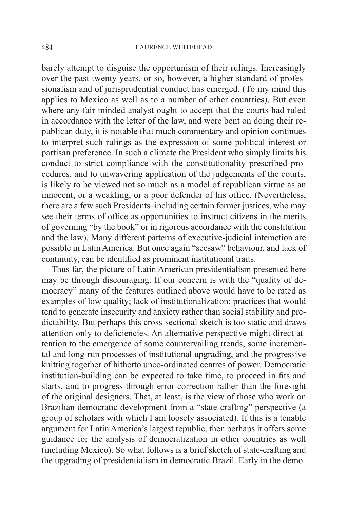barely attempt to disguise the opportunism of their rulings. Increasingly over the past twenty years, or so, however, a higher standard of professionalism and of jurisprudential conduct has emerged. (To my mind this applies to Mexico as well as to a number of other countries). But even where any fair-minded analyst ought to accept that the courts had ruled in accordance with the letter of the law, and were bent on doing their republican duty, it is notable that much commentary and opinion continues to interpret such rulings as the expression of some political interest or partisan preference. In such a climate the President who simply limits his conduct to strict compliance with the constitutionality prescribed procedures, and to unwavering application of the judgements of the courts, is likely to be viewed not so much as a model of republican virtue as an innocent, or a weakling, or a poor defender of his office. (Nevertheless, there are a few such Presidents–including certain former justices, who may see their terms of office as opportunities to instruct citizens in the merits of governing "by the book" or in rigorous accordance with the constitution and the law). Many different patterns of executive-judicial interaction are possible in Latin America. But once again "seesaw" behaviour, and lack of continuity, can be identified as prominent institutional traits.

Thus far, the picture of Latin American presidentialism presented here may be through discouraging. If our concern is with the "quality of democracy" many of the features outlined above would have to be rated as examples of low quality; lack of institutionalization; practices that would tend to generate insecurity and anxiety rather than social stability and predictability. But perhaps this cross-sectional sketch is too static and draws attention only to deficiencies. An alternative perspective might direct attention to the emergence of some countervailing trends, some incremental and long-run processes of institutional upgrading, and the progressive knitting together of hitherto unco-ordinated centres of power. Democratic institution-building can be expected to take time, to proceed in fits and starts, and to progress through error-correction rather than the foresight of the original designers. That, at least, is the view of those who work on Brazilian democratic development from a "state-crafting" perspective (a group of scholars with which I am loosely associated). If this is a tenable argument for Latin America's largest republic, then perhaps it offers some guidance for the analysis of democratization in other countries as well (including Mexico). So what follows is a brief sketch of state-crafting and the upgrading of presidentialism in democratic Brazil. Early in the demo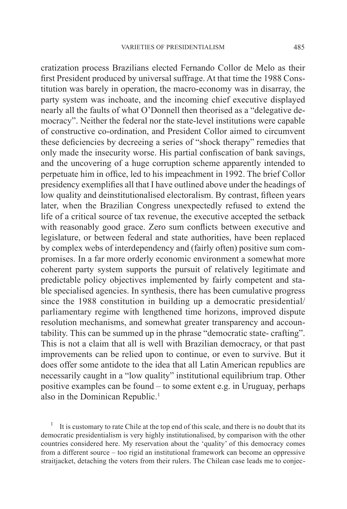cratization process Brazilians elected Fernando Collor de Melo as their first President produced by universal suffrage. At that time the 1988 Constitution was barely in operation, the macro-economy was in disarray, the party system was inchoate, and the incoming chief executive displayed nearly all the faults of what O'Donnell then theorised as a "delegative democracy". Neither the federal nor the state-level institutions were capable of constructive co-ordination, and President Collor aimed to circumvent these deficiencies by decreeing a series of "shock therapy" remedies that only made the insecurity worse. His partial confiscation of bank savings, and the uncovering of a huge corruption scheme apparently intended to perpetuate him in office, led to his impeachment in 1992. The brief Collor presidency exemplifies all that I have outlined above under the headings of low quality and deinstitutionalised electoralism. By contrast, fifteen years later, when the Brazilian Congress unexpectedly refused to extend the life of a critical source of tax revenue, the executive accepted the setback with reasonably good grace. Zero sum conflicts between executive and legislature, or between federal and state authorities, have been replaced by complex webs of interdependency and (fairly often) positive sum compromises. In a far more orderly economic environment a somewhat more coherent party system supports the pursuit of relatively legitimate and predictable policy objectives implemented by fairly competent and stable specialised agencies. In synthesis, there has been cumulative progress since the 1988 constitution in building up a democratic presidential/ parliamentary regime with lengthened time horizons, improved dispute resolution mechanisms, and somewhat greater transparency and accountability. This can be summed up in the phrase "democratic state- crafting". This is not a claim that all is well with Brazilian democracy, or that past improvements can be relied upon to continue, or even to survive. But it does offer some antidote to the idea that all Latin American republics are necessarily caught in a "low quality" institutional equilibrium trap. Other positive examples can be found – to some extent e.g. in Uruguay, perhaps also in the Dominican Republic.<sup>1</sup>

1 It is customary to rate Chile at the top end of this scale, and there is no doubt that its democratic presidentialism is very highly institutionalised, by comparison with the other countries considered here. My reservation about the 'quality' of this democracy comes from a different source – too rigid an institutional framework can become an oppressive straitjacket, detaching the voters from their rulers. The Chilean case leads me to conjec-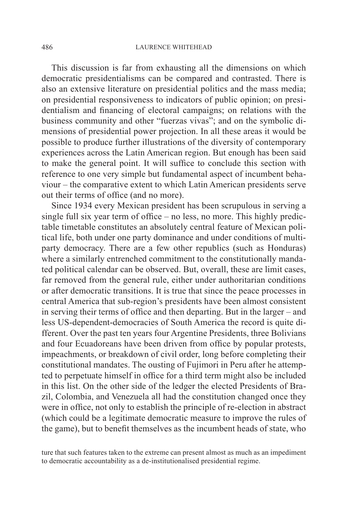This discussion is far from exhausting all the dimensions on which democratic presidentialisms can be compared and contrasted. There is also an extensive literature on presidential politics and the mass media; on presidential responsiveness to indicators of public opinion; on presidentialism and financing of electoral campaigns; on relations with the business community and other "fuerzas vivas"; and on the symbolic dimensions of presidential power projection. In all these areas it would be possible to produce further illustrations of the diversity of contemporary experiences across the Latin American region. But enough has been said to make the general point. It will suffice to conclude this section with reference to one very simple but fundamental aspect of incumbent behaviour – the comparative extent to which Latin American presidents serve out their terms of office (and no more).

Since 1934 every Mexican president has been scrupulous in serving a single full six year term of office – no less, no more. This highly predictable timetable constitutes an absolutely central feature of Mexican political life, both under one party dominance and under conditions of multiparty democracy. There are a few other republics (such as Honduras) where a similarly entrenched commitment to the constitutionally mandated political calendar can be observed. But, overall, these are limit cases, far removed from the general rule, either under authoritarian conditions or after democratic transitions. It is true that since the peace processes in central America that sub-region's presidents have been almost consistent in serving their terms of office and then departing. But in the larger – and less US-dependent-democracies of South America the record is quite different. Over the past ten years four Argentine Presidents, three Bolivians and four Ecuadoreans have been driven from office by popular protests, impeachments, or breakdown of civil order, long before completing their constitutional mandates. The ousting of Fujimori in Peru after he attempted to perpetuate himself in office for a third term might also be included in this list. On the other side of the ledger the elected Presidents of Brazil, Colombia, and Venezuela all had the constitution changed once they were in office, not only to establish the principle of re-election in abstract (which could be a legitimate democratic measure to improve the rules of the game), but to benefit themselves as the incumbent heads of state, who

ture that such features taken to the extreme can present almost as much as an impediment to democratic accountability as a de-institutionalised presidential regime.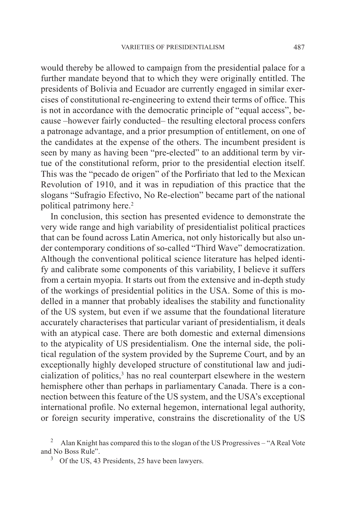would thereby be allowed to campaign from the presidential palace for a further mandate beyond that to which they were originally entitled. The presidents of Bolivia and Ecuador are currently engaged in similar exercises of constitutional re-engineering to extend their terms of office. This is not in accordance with the democratic principle of "equal access", because –however fairly conducted– the resulting electoral process confers a patronage advantage, and a prior presumption of entitlement, on one of the candidates at the expense of the others. The incumbent president is seen by many as having been "pre-elected" to an additional term by virtue of the constitutional reform, prior to the presidential election itself. This was the "pecado de origen" of the Porfiriato that led to the Mexican Revolution of 1910, and it was in repudiation of this practice that the slogans "Sufragio Efectivo, No Re-election" became part of the national political patrimony here.<sup>2</sup>

In conclusion, this section has presented evidence to demonstrate the very wide range and high variability of presidentialist political practices that can be found across Latin America, not only historically but also under contemporary conditions of so-called "Third Wave" democratization. Although the conventional political science literature has helped identify and calibrate some components of this variability, I believe it suffers from a certain myopia. It starts out from the extensive and in-depth study of the workings of presidential politics in the USA. Some of this is modelled in a manner that probably idealises the stability and functionality of the US system, but even if we assume that the foundational literature accurately characterises that particular variant of presidentialism, it deals with an atypical case. There are both domestic and external dimensions to the atypicality of US presidentialism. One the internal side, the political regulation of the system provided by the Supreme Court, and by an exceptionally highly developed structure of constitutional law and judicialization of politics,<sup>3</sup> has no real counterpart elsewhere in the western hemisphere other than perhaps in parliamentary Canada. There is a connection between this feature of the US system, and the USA's exceptional international profile. No external hegemon, international legal authority, or foreign security imperative, constrains the discretionality of the US

<sup>2</sup> Alan Knight has compared this to the slogan of the US Progressives – "A Real Vote and No Boss Rule".

<sup>&</sup>lt;sup>3</sup> Of the US, 43 Presidents, 25 have been lawyers.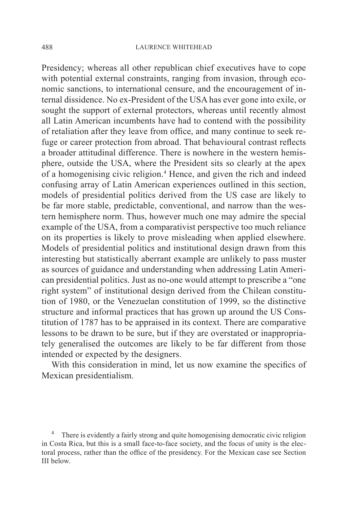Presidency; whereas all other republican chief executives have to cope with potential external constraints, ranging from invasion, through economic sanctions, to international censure, and the encouragement of internal dissidence. No ex-President of the USA has ever gone into exile, or sought the support of external protectors, whereas until recently almost all Latin American incumbents have had to contend with the possibility of retaliation after they leave from office, and many continue to seek refuge or career protection from abroad. That behavioural contrast reflects a broader attitudinal difference. There is nowhere in the western hemisphere, outside the USA, where the President sits so clearly at the apex of a homogenising civic religion.<sup>4</sup> Hence, and given the rich and indeed confusing array of Latin American experiences outlined in this section, models of presidential politics derived from the US case are likely to be far more stable, predictable, conventional, and narrow than the western hemisphere norm. Thus, however much one may admire the special example of the USA, from a comparativist perspective too much reliance on its properties is likely to prove misleading when applied elsewhere. Models of presidential politics and institutional design drawn from this interesting but statistically aberrant example are unlikely to pass muster as sources of guidance and understanding when addressing Latin American presidential politics. Just as no-one would attempt to prescribe a "one right system" of institutional design derived from the Chilean constitution of 1980, or the Venezuelan constitution of 1999, so the distinctive structure and informal practices that has grown up around the US Constitution of 1787 has to be appraised in its context. There are comparative lessons to be drawn to be sure, but if they are overstated or inappropriately generalised the outcomes are likely to be far different from those intended or expected by the designers.

With this consideration in mind, let us now examine the specifics of Mexican presidentialism.

There is evidently a fairly strong and quite homogenising democratic civic religion in Costa Rica, but this is a small face-to-face society, and the focus of unity is the electoral process, rather than the office of the presidency. For the Mexican case see Section III below.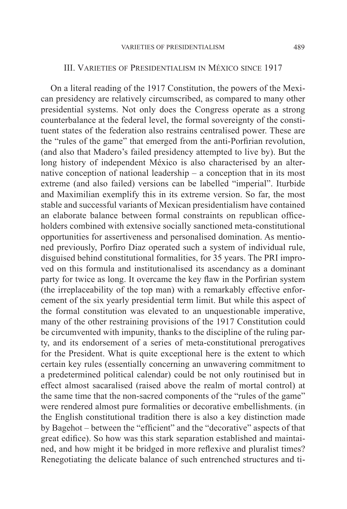#### III. Varieties of Presidentialism in México since 1917

On a literal reading of the 1917 Constitution, the powers of the Mexican presidency are relatively circumscribed, as compared to many other presidential systems. Not only does the Congress operate as a strong counterbalance at the federal level, the formal sovereignty of the constituent states of the federation also restrains centralised power. These are the "rules of the game" that emerged from the anti-Porfirian revolution, (and also that Madero's failed presidency attempted to live by). But the long history of independent México is also characterised by an alternative conception of national leadership – a conception that in its most extreme (and also failed) versions can be labelled "imperial". Iturbide and Maximilian exemplify this in its extreme version. So far, the most stable and successful variants of Mexican presidentialism have contained an elaborate balance between formal constraints on republican officeholders combined with extensive socially sanctioned meta-constitutional opportunities for assertiveness and personalised domination. As mentioned previously, Porfiro Diaz operated such a system of individual rule, disguised behind constitutional formalities, for 35 years. The PRI improved on this formula and institutionalised its ascendancy as a dominant party for twice as long. It overcame the key flaw in the Porfirian system (the irreplaceability of the top man) with a remarkably effective enforcement of the six yearly presidential term limit. But while this aspect of the formal constitution was elevated to an unquestionable imperative, many of the other restraining provisions of the 1917 Constitution could be circumvented with impunity, thanks to the discipline of the ruling party, and its endorsement of a series of meta-constitutional prerogatives for the President. What is quite exceptional here is the extent to which certain key rules (essentially concerning an unwavering commitment to a predetermined political calendar) could be not only routinised but in effect almost sacaralised (raised above the realm of mortal control) at the same time that the non-sacred components of the "rules of the game" were rendered almost pure formalities or decorative embellishments. (in the English constitutional tradition there is also a key distinction made by Bagehot – between the "efficient" and the "decorative" aspects of that great edifice). So how was this stark separation established and maintained, and how might it be bridged in more reflexive and pluralist times? Renegotiating the delicate balance of such entrenched structures and ti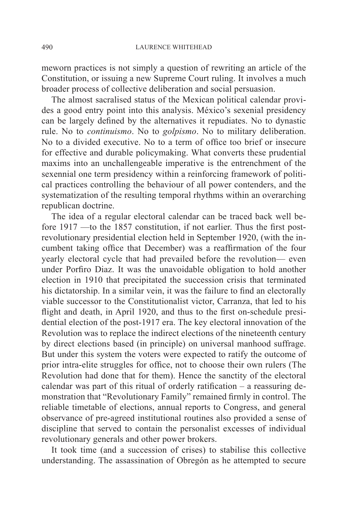meworn practices is not simply a question of rewriting an article of the Constitution, or issuing a new Supreme Court ruling. It involves a much broader process of collective deliberation and social persuasion.

The almost sacralised status of the Mexican political calendar provides a good entry point into this analysis. México's sexenial presidency can be largely defined by the alternatives it repudiates. No to dynastic rule. No to *continuismo*. No to *golpismo*. No to military deliberation. No to a divided executive. No to a term of office too brief or insecure for effective and durable policymaking. What converts these prudential maxims into an unchallengeable imperative is the entrenchment of the sexennial one term presidency within a reinforcing framework of political practices controlling the behaviour of all power contenders, and the systematization of the resulting temporal rhythms within an overarching republican doctrine.

The idea of a regular electoral calendar can be traced back well before 1917 —to the 1857 constitution, if not earlier. Thus the first postrevolutionary presidential election held in September 1920, (with the incumbent taking office that December) was a reaffirmation of the four yearly electoral cycle that had prevailed before the revolution— even under Porfiro Diaz. It was the unavoidable obligation to hold another election in 1910 that precipitated the succession crisis that terminated his dictatorship. In a similar vein, it was the failure to find an electorally viable successor to the Constitutionalist victor, Carranza, that led to his flight and death, in April 1920, and thus to the first on-schedule presidential election of the post-1917 era. The key electoral innovation of the Revolution was to replace the indirect elections of the nineteenth century by direct elections based (in principle) on universal manhood suffrage. But under this system the voters were expected to ratify the outcome of prior intra-elite struggles for office, not to choose their own rulers (The Revolution had done that for them). Hence the sanctity of the electoral calendar was part of this ritual of orderly ratification – a reassuring demonstration that "Revolutionary Family" remained firmly in control. The reliable timetable of elections, annual reports to Congress, and general observance of pre-agreed institutional routines also provided a sense of discipline that served to contain the personalist excesses of individual revolutionary generals and other power brokers.

It took time (and a succession of crises) to stabilise this collective understanding. The assassination of Obregón as he attempted to secure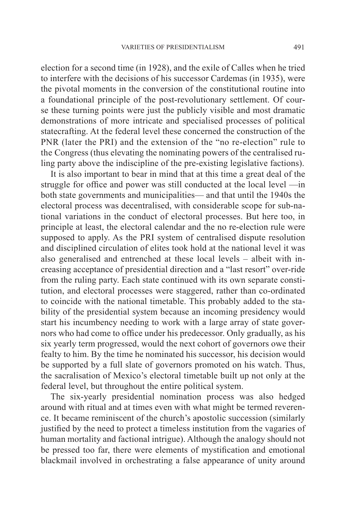election for a second time (in 1928), and the exile of Calles when he tried to interfere with the decisions of his successor Cardemas (in 1935), were the pivotal moments in the conversion of the constitutional routine into a foundational principle of the post-revolutionary settlement. Of course these turning points were just the publicly visible and most dramatic demonstrations of more intricate and specialised processes of political statecrafting. At the federal level these concerned the construction of the PNR (later the PRI) and the extension of the "no re-election" rule to the Congress (thus elevating the nominating powers of the centralised ruling party above the indiscipline of the pre-existing legislative factions).

It is also important to bear in mind that at this time a great deal of the struggle for office and power was still conducted at the local level —in both state governments and municipalities— and that until the 1940s the electoral process was decentralised, with considerable scope for sub-national variations in the conduct of electoral processes. But here too, in principle at least, the electoral calendar and the no re-election rule were supposed to apply. As the PRI system of centralised dispute resolution and disciplined circulation of elites took hold at the national level it was also generalised and entrenched at these local levels – albeit with increasing acceptance of presidential direction and a "last resort" over-ride from the ruling party. Each state continued with its own separate constitution, and electoral processes were staggered, rather than co-ordinated to coincide with the national timetable. This probably added to the stability of the presidential system because an incoming presidency would start his incumbency needing to work with a large array of state governors who had come to office under his predecessor. Only gradually, as his six yearly term progressed, would the next cohort of governors owe their fealty to him. By the time he nominated his successor, his decision would be supported by a full slate of governors promoted on his watch. Thus, the sacralisation of Mexico's electoral timetable built up not only at the federal level, but throughout the entire political system.

The six-yearly presidential nomination process was also hedged around with ritual and at times even with what might be termed reverence. It became reminiscent of the church's apostolic succession (similarly justified by the need to protect a timeless institution from the vagaries of human mortality and factional intrigue). Although the analogy should not be pressed too far, there were elements of mystification and emotional blackmail involved in orchestrating a false appearance of unity around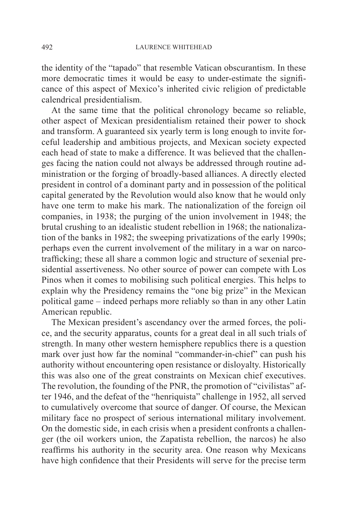the identity of the "tapado" that resemble Vatican obscurantism. In these more democratic times it would be easy to under-estimate the significance of this aspect of Mexico's inherited civic religion of predictable calendrical presidentialism.

At the same time that the political chronology became so reliable, other aspect of Mexican presidentialism retained their power to shock and transform. A guaranteed six yearly term is long enough to invite forceful leadership and ambitious projects, and Mexican society expected each head of state to make a difference. It was believed that the challenges facing the nation could not always be addressed through routine administration or the forging of broadly-based alliances. A directly elected president in control of a dominant party and in possession of the political capital generated by the Revolution would also know that he would only have one term to make his mark. The nationalization of the foreign oil companies, in 1938; the purging of the union involvement in 1948; the brutal crushing to an idealistic student rebellion in 1968; the nationalization of the banks in 1982; the sweeping privatizations of the early 1990s; perhaps even the current involvement of the military in a war on narcotrafficking; these all share a common logic and structure of sexenial presidential assertiveness. No other source of power can compete with Los Pinos when it comes to mobilising such political energies. This helps to explain why the Presidency remains the "one big prize" in the Mexican political game – indeed perhaps more reliably so than in any other Latin American republic.

The Mexican president's ascendancy over the armed forces, the police, and the security apparatus, counts for a great deal in all such trials of strength. In many other western hemisphere republics there is a question mark over just how far the nominal "commander-in-chief" can push his authority without encountering open resistance or disloyalty. Historically this was also one of the great constraints on Mexican chief executives. The revolution, the founding of the PNR, the promotion of "civilistas" after 1946, and the defeat of the "henriquista" challenge in 1952, all served to cumulatively overcome that source of danger. Of course, the Mexican military face no prospect of serious international military involvement. On the domestic side, in each crisis when a president confronts a challenger (the oil workers union, the Zapatista rebellion, the narcos) he also reaffirms his authority in the security area. One reason why Mexicans have high confidence that their Presidents will serve for the precise term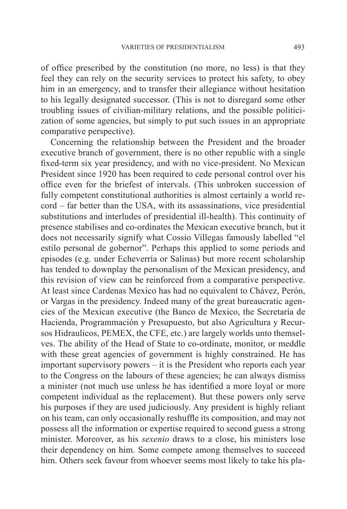of office prescribed by the constitution (no more, no less) is that they feel they can rely on the security services to protect his safety, to obey him in an emergency, and to transfer their allegiance without hesitation to his legally designated successor. (This is not to disregard some other troubling issues of civilian-military relations, and the possible politicization of some agencies, but simply to put such issues in an appropriate comparative perspective).

Concerning the relationship between the President and the broader executive branch of government, there is no other republic with a single fixed-term six year presidency, and with no vice-president. No Mexican President since 1920 has been required to cede personal control over his office even for the briefest of intervals. (This unbroken succession of fully competent constitutional authorities is almost certainly a world record – far better than the USA, with its assassinations, vice presidential substitutions and interludes of presidential ill-health). This continuity of presence stabilises and co-ordinates the Mexican executive branch, but it does not necessarily signify what Cossio Villegas famously labelled "el estilo personal de gobernor". Perhaps this applied to some periods and episodes (e.g. under Echeverría or Salinas) but more recent scholarship has tended to downplay the personalism of the Mexican presidency, and this revision of view can be reinforced from a comparative perspective. At least since Cardenas Mexico has had no equivalent to Chávez, Perón, or Vargas in the presidency. Indeed many of the great bureaucratic agencies of the Mexican executive (the Banco de Mexico, the Secretaría de Hacienda, Programmación y Presupuesto, but also Agricultura y Recursos Hidraulicos, PEMEX, the CFE, etc.) are largely worlds unto themselves. The ability of the Head of State to co-ordinate, monitor, or meddle with these great agencies of government is highly constrained. He has important supervisory powers – it is the President who reports each year to the Congress on the labours of these agencies; he can always dismiss a minister (not much use unless he has identified a more loyal or more competent individual as the replacement). But these powers only serve his purposes if they are used judiciously. Any president is highly reliant on his team, can only occasionally reshuffle its composition, and may not possess all the information or expertise required to second guess a strong minister. Moreover, as his *sexenio* draws to a close, his ministers lose their dependency on him. Some compete among themselves to succeed him. Others seek favour from whoever seems most likely to take his pla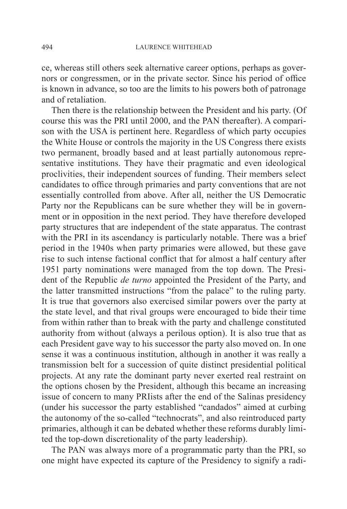ce, whereas still others seek alternative career options, perhaps as governors or congressmen, or in the private sector. Since his period of office is known in advance, so too are the limits to his powers both of patronage and of retaliation.

Then there is the relationship between the President and his party. (Of course this was the PRI until 2000, and the PAN thereafter). A comparison with the USA is pertinent here. Regardless of which party occupies the White House or controls the majority in the US Congress there exists two permanent, broadly based and at least partially autonomous representative institutions. They have their pragmatic and even ideological proclivities, their independent sources of funding. Their members select candidates to office through primaries and party conventions that are not essentially controlled from above. After all, neither the US Democratic Party nor the Republicans can be sure whether they will be in government or in opposition in the next period. They have therefore developed party structures that are independent of the state apparatus. The contrast with the PRI in its ascendancy is particularly notable. There was a brief period in the 1940s when party primaries were allowed, but these gave rise to such intense factional conflict that for almost a half century after 1951 party nominations were managed from the top down. The President of the Republic *de turno* appointed the President of the Party, and the latter transmitted instructions "from the palace" to the ruling party. It is true that governors also exercised similar powers over the party at the state level, and that rival groups were encouraged to bide their time from within rather than to break with the party and challenge constituted authority from without (always a perilous option). It is also true that as each President gave way to his successor the party also moved on. In one sense it was a continuous institution, although in another it was really a transmission belt for a succession of quite distinct presidential political projects. At any rate the dominant party never exerted real restraint on the options chosen by the President, although this became an increasing issue of concern to many PRIists after the end of the Salinas presidency (under his successor the party established "candados" aimed at curbing the autonomy of the so-called "technocrats", and also reintroduced party primaries, although it can be debated whether these reforms durably limited the top-down discretionality of the party leadership).

The PAN was always more of a programmatic party than the PRI, so one might have expected its capture of the Presidency to signify a radi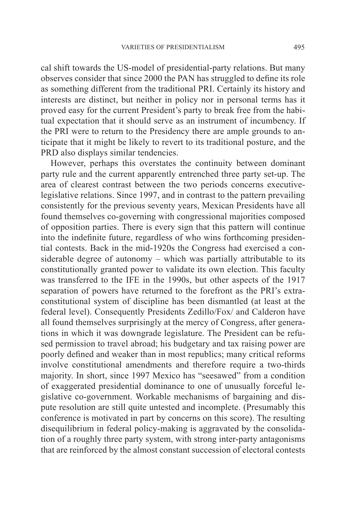cal shift towards the US-model of presidential-party relations. But many observes consider that since 2000 the PAN has struggled to define its role as something different from the traditional PRI. Certainly its history and interests are distinct, but neither in policy nor in personal terms has it proved easy for the current President's party to break free from the habitual expectation that it should serve as an instrument of incumbency. If the PRI were to return to the Presidency there are ample grounds to anticipate that it might be likely to revert to its traditional posture, and the PRD also displays similar tendencies.

However, perhaps this overstates the continuity between dominant party rule and the current apparently entrenched three party set-up. The area of clearest contrast between the two periods concerns executivelegislative relations. Since 1997, and in contrast to the pattern prevailing consistently for the previous seventy years, Mexican Presidents have all found themselves co-governing with congressional majorities composed of opposition parties. There is every sign that this pattern will continue into the indefinite future, regardless of who wins forthcoming presidential contests. Back in the mid-1920s the Congress had exercised a considerable degree of autonomy – which was partially attributable to its constitutionally granted power to validate its own election. This faculty was transferred to the IFE in the 1990s, but other aspects of the 1917 separation of powers have returned to the forefront as the PRI's extraconstitutional system of discipline has been dismantled (at least at the federal level). Consequently Presidents Zedillo/Fox/ and Calderon have all found themselves surprisingly at the mercy of Congress, after generations in which it was downgrade legislature. The President can be refused permission to travel abroad; his budgetary and tax raising power are poorly defined and weaker than in most republics; many critical reforms involve constitutional amendments and therefore require a two-thirds majority. In short, since 1997 Mexico has "seesawed" from a condition of exaggerated presidential dominance to one of unusually forceful legislative co-government. Workable mechanisms of bargaining and dispute resolution are still quite untested and incomplete. (Presumably this conference is motivated in part by concerns on this score). The resulting disequilibrium in federal policy-making is aggravated by the consolidation of a roughly three party system, with strong inter-party antagonisms that are reinforced by the almost constant succession of electoral contests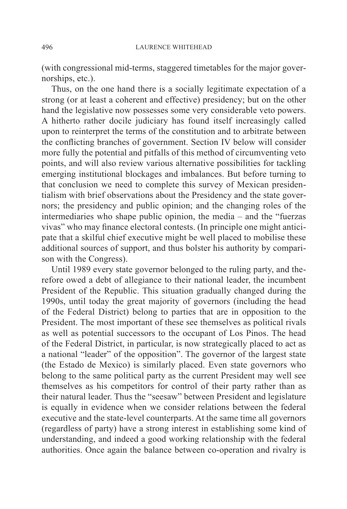(with congressional mid-terms, staggered timetables for the major governorships, etc.).

Thus, on the one hand there is a socially legitimate expectation of a strong (or at least a coherent and effective) presidency; but on the other hand the legislative now possesses some very considerable veto powers. A hitherto rather docile judiciary has found itself increasingly called upon to reinterpret the terms of the constitution and to arbitrate between the conflicting branches of government. Section IV below will consider more fully the potential and pitfalls of this method of circumventing veto points, and will also review various alternative possibilities for tackling emerging institutional blockages and imbalances. But before turning to that conclusion we need to complete this survey of Mexican presidentialism with brief observations about the Presidency and the state governors; the presidency and public opinion; and the changing roles of the intermediaries who shape public opinion, the media – and the "fuerzas vivas" who may finance electoral contests. (In principle one might anticipate that a skilful chief executive might be well placed to mobilise these additional sources of support, and thus bolster his authority by comparison with the Congress).

Until 1989 every state governor belonged to the ruling party, and therefore owed a debt of allegiance to their national leader, the incumbent President of the Republic. This situation gradually changed during the 1990s, until today the great majority of governors (including the head of the Federal District) belong to parties that are in opposition to the President. The most important of these see themselves as political rivals as well as potential successors to the occupant of Los Pinos. The head of the Federal District, in particular, is now strategically placed to act as a national "leader" of the opposition". The governor of the largest state (the Estado de Mexico) is similarly placed. Even state governors who belong to the same political party as the current President may well see themselves as his competitors for control of their party rather than as their natural leader. Thus the "seesaw" between President and legislature is equally in evidence when we consider relations between the federal executive and the state-level counterparts. At the same time all governors (regardless of party) have a strong interest in establishing some kind of understanding, and indeed a good working relationship with the federal authorities. Once again the balance between co-operation and rivalry is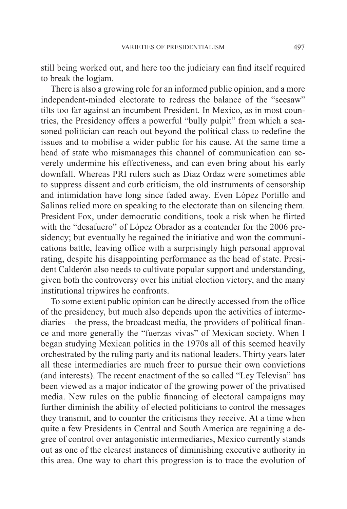still being worked out, and here too the judiciary can find itself required to break the logjam.

There is also a growing role for an informed public opinion, and a more independent-minded electorate to redress the balance of the "seesaw" tilts too far against an incumbent President. In Mexico, as in most countries, the Presidency offers a powerful "bully pulpit" from which a seasoned politician can reach out beyond the political class to redefine the issues and to mobilise a wider public for his cause. At the same time a head of state who mismanages this channel of communication can severely undermine his effectiveness, and can even bring about his early downfall. Whereas PRI rulers such as Diaz Ordaz were sometimes able to suppress dissent and curb criticism, the old instruments of censorship and intimidation have long since faded away. Even López Portillo and Salinas relied more on speaking to the electorate than on silencing them. President Fox, under democratic conditions, took a risk when he flirted with the "desafuero" of López Obrador as a contender for the 2006 presidency; but eventually he regained the initiative and won the communications battle, leaving office with a surprisingly high personal approval rating, despite his disappointing performance as the head of state. President Calderón also needs to cultivate popular support and understanding, given both the controversy over his initial election victory, and the many institutional tripwires he confronts.

To some extent public opinion can be directly accessed from the office of the presidency, but much also depends upon the activities of intermediaries – the press, the broadcast media, the providers of political finance and more generally the "fuerzas vivas" of Mexican society. When I began studying Mexican politics in the 1970s all of this seemed heavily orchestrated by the ruling party and its national leaders. Thirty years later all these intermediaries are much freer to pursue their own convictions (and interests). The recent enactment of the so called "Ley Televisa" has been viewed as a major indicator of the growing power of the privatised media. New rules on the public financing of electoral campaigns may further diminish the ability of elected politicians to control the messages they transmit, and to counter the criticisms they receive. At a time when quite a few Presidents in Central and South America are regaining a degree of control over antagonistic intermediaries, Mexico currently stands out as one of the clearest instances of diminishing executive authority in this area. One way to chart this progression is to trace the evolution of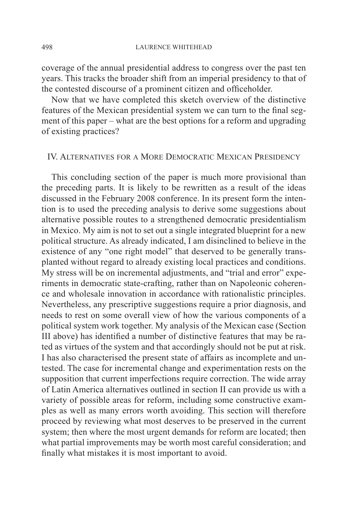coverage of the annual presidential address to congress over the past ten years. This tracks the broader shift from an imperial presidency to that of the contested discourse of a prominent citizen and officeholder.

Now that we have completed this sketch overview of the distinctive features of the Mexican presidential system we can turn to the final segment of this paper – what are the best options for a reform and upgrading of existing practices?

### IV. Alternatives for a More Democratic Mexican Presidency

This concluding section of the paper is much more provisional than the preceding parts. It is likely to be rewritten as a result of the ideas discussed in the February 2008 conference. In its present form the intention is to used the preceding analysis to derive some suggestions about alternative possible routes to a strengthened democratic presidentialism in Mexico. My aim is not to set out a single integrated blueprint for a new political structure. As already indicated, I am disinclined to believe in the existence of any "one right model" that deserved to be generally transplanted without regard to already existing local practices and conditions. My stress will be on incremental adjustments, and "trial and error" experiments in democratic state-crafting, rather than on Napoleonic coherence and wholesale innovation in accordance with rationalistic principles. Nevertheless, any prescriptive suggestions require a prior diagnosis, and needs to rest on some overall view of how the various components of a political system work together. My analysis of the Mexican case (Section III above) has identified a number of distinctive features that may be rated as virtues of the system and that accordingly should not be put at risk. I has also characterised the present state of affairs as incomplete and untested. The case for incremental change and experimentation rests on the supposition that current imperfections require correction. The wide array of Latin America alternatives outlined in section II can provide us with a variety of possible areas for reform, including some constructive examples as well as many errors worth avoiding. This section will therefore proceed by reviewing what most deserves to be preserved in the current system; then where the most urgent demands for reform are located; then what partial improvements may be worth most careful consideration; and finally what mistakes it is most important to avoid.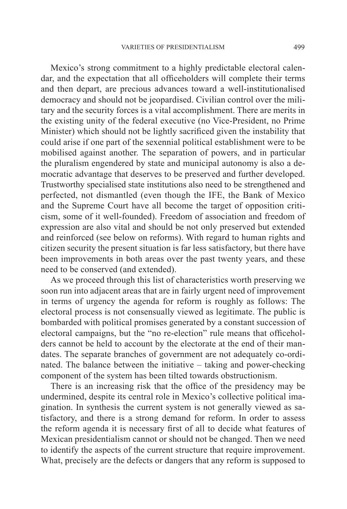Mexico's strong commitment to a highly predictable electoral calendar, and the expectation that all officeholders will complete their terms and then depart, are precious advances toward a well-institutionalised democracy and should not be jeopardised. Civilian control over the military and the security forces is a vital accomplishment. There are merits in the existing unity of the federal executive (no Vice-President, no Prime Minister) which should not be lightly sacrificed given the instability that could arise if one part of the sexennial political establishment were to be mobilised against another. The separation of powers, and in particular the pluralism engendered by state and municipal autonomy is also a democratic advantage that deserves to be preserved and further developed. Trustworthy specialised state institutions also need to be strengthened and perfected, not dismantled (even though the IFE, the Bank of Mexico and the Supreme Court have all become the target of opposition criticism, some of it well-founded). Freedom of association and freedom of expression are also vital and should be not only preserved but extended and reinforced (see below on reforms). With regard to human rights and citizen security the present situation is far less satisfactory, but there have been improvements in both areas over the past twenty years, and these need to be conserved (and extended).

As we proceed through this list of characteristics worth preserving we soon run into adjacent areas that are in fairly urgent need of improvement in terms of urgency the agenda for reform is roughly as follows: The electoral process is not consensually viewed as legitimate. The public is bombarded with political promises generated by a constant succession of electoral campaigns, but the "no re-election" rule means that officeholders cannot be held to account by the electorate at the end of their mandates. The separate branches of government are not adequately co-ordinated. The balance between the initiative – taking and power-checking component of the system has been tilted towards obstructionism.

There is an increasing risk that the office of the presidency may be undermined, despite its central role in Mexico's collective political imagination. In synthesis the current system is not generally viewed as satisfactory, and there is a strong demand for reform. In order to assess the reform agenda it is necessary first of all to decide what features of Mexican presidentialism cannot or should not be changed. Then we need to identify the aspects of the current structure that require improvement. What, precisely are the defects or dangers that any reform is supposed to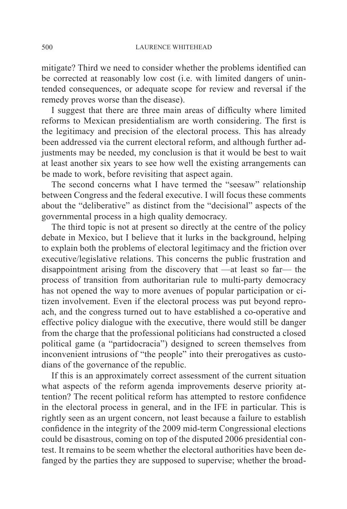mitigate? Third we need to consider whether the problems identified can be corrected at reasonably low cost (i.e. with limited dangers of unintended consequences, or adequate scope for review and reversal if the remedy proves worse than the disease).

I suggest that there are three main areas of difficulty where limited reforms to Mexican presidentialism are worth considering. The first is the legitimacy and precision of the electoral process. This has already been addressed via the current electoral reform, and although further adjustments may be needed, my conclusion is that it would be best to wait at least another six years to see how well the existing arrangements can be made to work, before revisiting that aspect again.

The second concerns what I have termed the "seesaw" relationship between Congress and the federal executive. I will focus these comments about the "deliberative" as distinct from the "decisional" aspects of the governmental process in a high quality democracy.

The third topic is not at present so directly at the centre of the policy debate in Mexico, but I believe that it lurks in the background, helping to explain both the problems of electoral legitimacy and the friction over executive/legislative relations. This concerns the public frustration and disappointment arising from the discovery that —at least so far— the process of transition from authoritarian rule to multi-party democracy has not opened the way to more avenues of popular participation or citizen involvement. Even if the electoral process was put beyond reproach, and the congress turned out to have established a co-operative and effective policy dialogue with the executive, there would still be danger from the charge that the professional politicians had constructed a closed political game (a "partidocracia") designed to screen themselves from inconvenient intrusions of "the people" into their prerogatives as custodians of the governance of the republic.

If this is an approximately correct assessment of the current situation what aspects of the reform agenda improvements deserve priority attention? The recent political reform has attempted to restore confidence in the electoral process in general, and in the IFE in particular. This is rightly seen as an urgent concern, not least because a failure to establish confidence in the integrity of the 2009 mid-term Congressional elections could be disastrous, coming on top of the disputed 2006 presidential contest. It remains to be seem whether the electoral authorities have been defanged by the parties they are supposed to supervise; whether the broad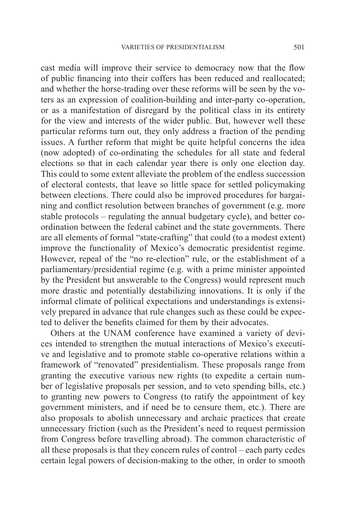cast media will improve their service to democracy now that the flow of public financing into their coffers has been reduced and reallocated; and whether the horse-trading over these reforms will be seen by the voters as an expression of coalition-building and inter-party co-operation, or as a manifestation of disregard by the political class in its entirety for the view and interests of the wider public. But, however well these particular reforms turn out, they only address a fraction of the pending issues. A further reform that might be quite helpful concerns the idea (now adopted) of co-ordinating the schedules for all state and federal elections so that in each calendar year there is only one election day. This could to some extent alleviate the problem of the endless succession of electoral contests, that leave so little space for settled policymaking between elections. There could also be improved procedures for bargaining and conflict resolution between branches of government (e.g. more stable protocols – regulating the annual budgetary cycle), and better coordination between the federal cabinet and the state governments. There are all elements of formal "state-crafting" that could (to a modest extent) improve the functionality of Mexico's democratic presidentist regime. However, repeal of the "no re-election" rule, or the establishment of a parliamentary/presidential regime (e.g. with a prime minister appointed by the President but answerable to the Congress) would represent much more drastic and potentially destabilizing innovations. It is only if the informal climate of political expectations and understandings is extensively prepared in advance that rule changes such as these could be expected to deliver the benefits claimed for them by their advocates.

Others at the UNAM conference have examined a variety of devices intended to strengthen the mutual interactions of Mexico's executive and legislative and to promote stable co-operative relations within a framework of "renovated" presidentialism. These proposals range from granting the executive various new rights (to expedite a certain number of legislative proposals per session, and to veto spending bills, etc.) to granting new powers to Congress (to ratify the appointment of key government ministers, and if need be to censure them, etc.). There are also proposals to abolish unnecessary and archaic practices that create unnecessary friction (such as the President's need to request permission from Congress before travelling abroad). The common characteristic of all these proposals is that they concern rules of control – each party cedes certain legal powers of decision-making to the other, in order to smooth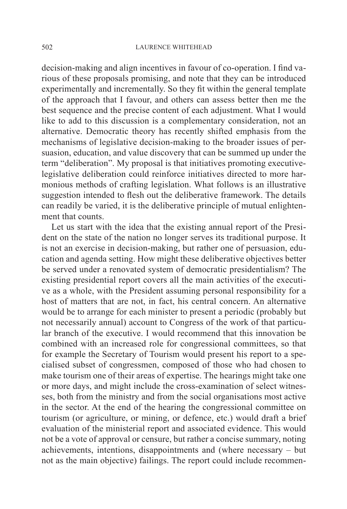decision-making and align incentives in favour of co-operation. I find various of these proposals promising, and note that they can be introduced experimentally and incrementally. So they fit within the general template of the approach that I favour, and others can assess better then me the best sequence and the precise content of each adjustment. What I would like to add to this discussion is a complementary consideration, not an alternative. Democratic theory has recently shifted emphasis from the mechanisms of legislative decision-making to the broader issues of persuasion, education, and value discovery that can be summed up under the term "deliberation". My proposal is that initiatives promoting executivelegislative deliberation could reinforce initiatives directed to more harmonious methods of crafting legislation. What follows is an illustrative suggestion intended to flesh out the deliberative framework. The details can readily be varied, it is the deliberative principle of mutual enlightenment that counts.

Let us start with the idea that the existing annual report of the President on the state of the nation no longer serves its traditional purpose. It is not an exercise in decision-making, but rather one of persuasion, education and agenda setting. How might these deliberative objectives better be served under a renovated system of democratic presidentialism? The existing presidential report covers all the main activities of the executive as a whole, with the President assuming personal responsibility for a host of matters that are not, in fact, his central concern. An alternative would be to arrange for each minister to present a periodic (probably but not necessarily annual) account to Congress of the work of that particular branch of the executive. I would recommend that this innovation be combined with an increased role for congressional committees, so that for example the Secretary of Tourism would present his report to a specialised subset of congressmen, composed of those who had chosen to make tourism one of their areas of expertise. The hearings might take one or more days, and might include the cross-examination of select witnesses, both from the ministry and from the social organisations most active in the sector. At the end of the hearing the congressional committee on tourism (or agriculture, or mining, or defence, etc.) would draft a brief evaluation of the ministerial report and associated evidence. This would not be a vote of approval or censure, but rather a concise summary, noting achievements, intentions, disappointments and (where necessary – but not as the main objective) failings. The report could include recommen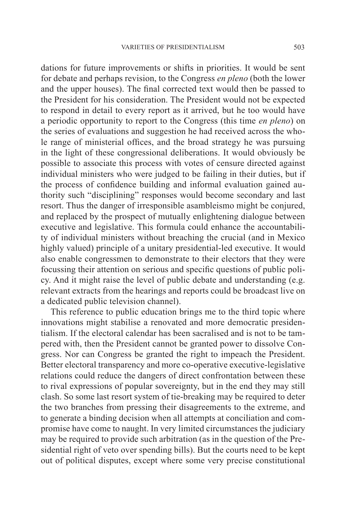dations for future improvements or shifts in priorities. It would be sent for debate and perhaps revision, to the Congress *en pleno* (both the lower and the upper houses). The final corrected text would then be passed to the President for his consideration. The President would not be expected to respond in detail to every report as it arrived, but he too would have a periodic opportunity to report to the Congress (this time *en pleno*) on the series of evaluations and suggestion he had received across the whole range of ministerial offices, and the broad strategy he was pursuing in the light of these congressional deliberations. It would obviously be possible to associate this process with votes of censure directed against individual ministers who were judged to be failing in their duties, but if the process of confidence building and informal evaluation gained authority such "disciplining" responses would become secondary and last resort. Thus the danger of irresponsible asambleismo might be conjured, and replaced by the prospect of mutually enlightening dialogue between executive and legislative. This formula could enhance the accountability of individual ministers without breaching the crucial (and in Mexico highly valued) principle of a unitary presidential-led executive. It would also enable congressmen to demonstrate to their electors that they were focussing their attention on serious and specific questions of public policy. And it might raise the level of public debate and understanding (e.g. relevant extracts from the hearings and reports could be broadcast live on a dedicated public television channel).

This reference to public education brings me to the third topic where innovations might stabilise a renovated and more democratic presidentialism. If the electoral calendar has been sacralised and is not to be tampered with, then the President cannot be granted power to dissolve Congress. Nor can Congress be granted the right to impeach the President. Better electoral transparency and more co-operative executive-legislative relations could reduce the dangers of direct confrontation between these to rival expressions of popular sovereignty, but in the end they may still clash. So some last resort system of tie-breaking may be required to deter the two branches from pressing their disagreements to the extreme, and to generate a binding decision when all attempts at conciliation and compromise have come to naught. In very limited circumstances the judiciary may be required to provide such arbitration (as in the question of the Presidential right of veto over spending bills). But the courts need to be kept out of political disputes, except where some very precise constitutional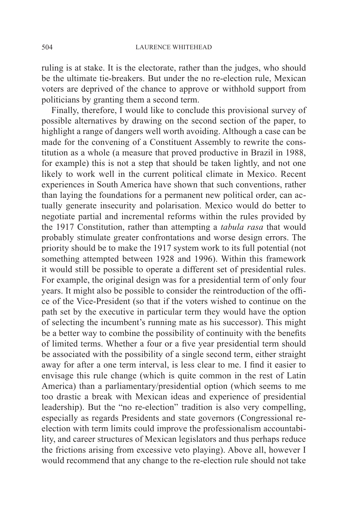ruling is at stake. It is the electorate, rather than the judges, who should be the ultimate tie-breakers. But under the no re-election rule, Mexican voters are deprived of the chance to approve or withhold support from politicians by granting them a second term.

Finally, therefore, I would like to conclude this provisional survey of possible alternatives by drawing on the second section of the paper, to highlight a range of dangers well worth avoiding. Although a case can be made for the convening of a Constituent Assembly to rewrite the constitution as a whole (a measure that proved productive in Brazil in 1988, for example) this is not a step that should be taken lightly, and not one likely to work well in the current political climate in Mexico. Recent experiences in South America have shown that such conventions, rather than laying the foundations for a permanent new political order, can actually generate insecurity and polarisation. Mexico would do better to negotiate partial and incremental reforms within the rules provided by the 1917 Constitution, rather than attempting a *tabula rasa* that would probably stimulate greater confrontations and worse design errors. The priority should be to make the 1917 system work to its full potential (not something attempted between 1928 and 1996). Within this framework it would still be possible to operate a different set of presidential rules. For example, the original design was for a presidential term of only four years. It might also be possible to consider the reintroduction of the office of the Vice-President (so that if the voters wished to continue on the path set by the executive in particular term they would have the option of selecting the incumbent's running mate as his successor). This might be a better way to combine the possibility of continuity with the benefits of limited terms. Whether a four or a five year presidential term should be associated with the possibility of a single second term, either straight away for after a one term interval, is less clear to me. I find it easier to envisage this rule change (which is quite common in the rest of Latin America) than a parliamentary/presidential option (which seems to me too drastic a break with Mexican ideas and experience of presidential leadership). But the "no re-election" tradition is also very compelling, especially as regards Presidents and state governors (Congressional reelection with term limits could improve the professionalism accountability, and career structures of Mexican legislators and thus perhaps reduce the frictions arising from excessive veto playing). Above all, however I would recommend that any change to the re-election rule should not take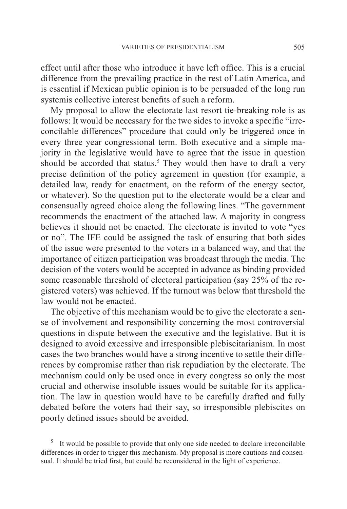effect until after those who introduce it have left office. This is a crucial difference from the prevailing practice in the rest of Latin America, and is essential if Mexican public opinion is to be persuaded of the long run systemis collective interest benefits of such a reform.

My proposal to allow the electorate last resort tie-breaking role is as follows: It would be necessary for the two sides to invoke a specific "irreconcilable differences" procedure that could only be triggered once in every three year congressional term. Both executive and a simple majority in the legislative would have to agree that the issue in question should be accorded that status.<sup>5</sup> They would then have to draft a very precise definition of the policy agreement in question (for example, a detailed law, ready for enactment, on the reform of the energy sector, or whatever). So the question put to the electorate would be a clear and consensually agreed choice along the following lines. "The government recommends the enactment of the attached law. A majority in congress believes it should not be enacted. The electorate is invited to vote "yes or no". The IFE could be assigned the task of ensuring that both sides of the issue were presented to the voters in a balanced way, and that the importance of citizen participation was broadcast through the media. The decision of the voters would be accepted in advance as binding provided some reasonable threshold of electoral participation (say 25% of the registered voters) was achieved. If the turnout was below that threshold the law would not be enacted.

The objective of this mechanism would be to give the electorate a sense of involvement and responsibility concerning the most controversial questions in dispute between the executive and the legislative. But it is designed to avoid excessive and irresponsible plebiscitarianism. In most cases the two branches would have a strong incentive to settle their differences by compromise rather than risk repudiation by the electorate. The mechanism could only be used once in every congress so only the most crucial and otherwise insoluble issues would be suitable for its application. The law in question would have to be carefully drafted and fully debated before the voters had their say, so irresponsible plebiscites on poorly defined issues should be avoided.

 $5$  It would be possible to provide that only one side needed to declare irreconcilable differences in order to trigger this mechanism. My proposal is more cautions and consensual. It should be tried first, but could be reconsidered in the light of experience.